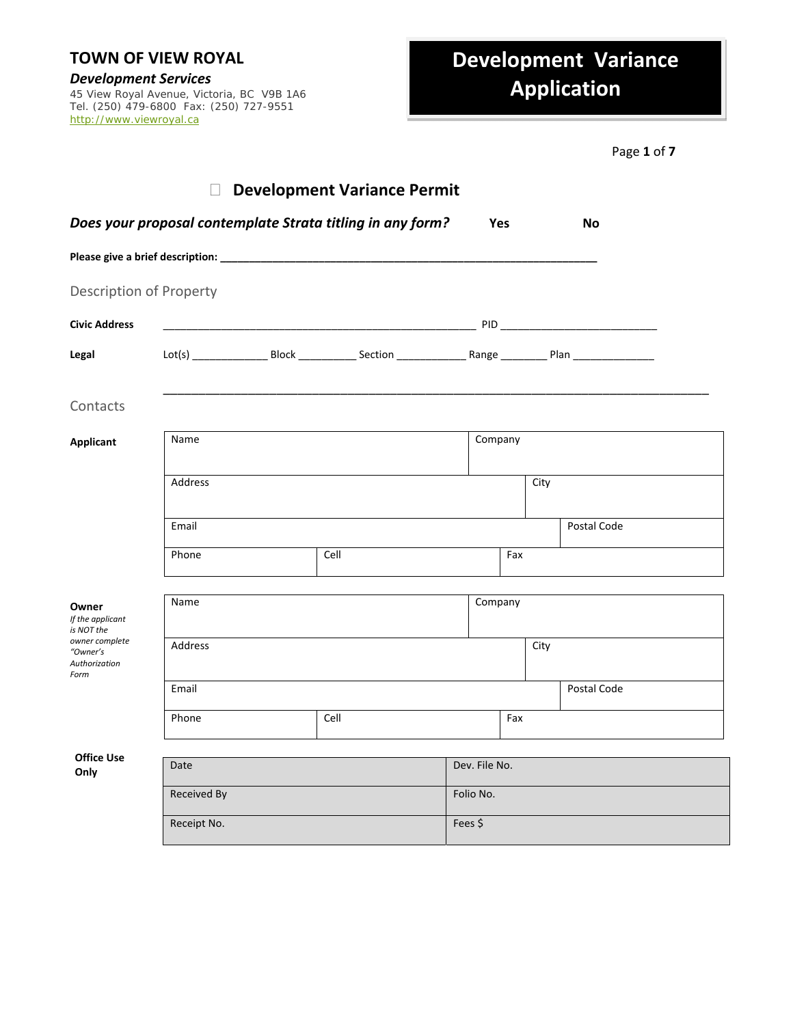*Development Services* 45 View Royal Avenue, Victoria, BC V9B 1A6 Tel. (250) 479-6800 Fax: (250) 727-9551 http://www.viewroyal.ca

## **Development Variance Application**

| Page 1 of 7 |
|-------------|
|             |

|                                                     | $\Box$      | <b>Development Variance Permit</b>                         |         |               |      |             |
|-----------------------------------------------------|-------------|------------------------------------------------------------|---------|---------------|------|-------------|
|                                                     |             | Does your proposal contemplate Strata titling in any form? |         | <b>Yes</b>    |      | No          |
|                                                     |             |                                                            |         |               |      |             |
| <b>Description of Property</b>                      |             |                                                            |         |               |      |             |
| <b>Civic Address</b>                                |             |                                                            |         |               |      |             |
| Legal                                               |             |                                                            |         |               |      |             |
| Contacts                                            |             |                                                            |         |               |      |             |
| <b>Applicant</b>                                    | Name        |                                                            |         | Company       |      |             |
|                                                     | Address     |                                                            |         |               | City |             |
|                                                     | Email       |                                                            |         |               |      | Postal Code |
|                                                     | Phone       | Cell                                                       |         |               | Fax  |             |
| Owner<br>If the applicant<br>is NOT the             | Name        |                                                            |         | Company       |      |             |
| owner complete<br>"Owner's<br>Authorization<br>Form | Address     |                                                            |         |               | City |             |
|                                                     | Email       |                                                            |         |               |      | Postal Code |
|                                                     | Phone       | Cell                                                       |         |               | Fax  |             |
| <b>Office Use</b>                                   |             |                                                            |         |               |      |             |
| Only                                                | Date        |                                                            |         | Dev. File No. |      |             |
|                                                     | Received By |                                                            |         | Folio No.     |      |             |
|                                                     | Receipt No. |                                                            | Fees \$ |               |      |             |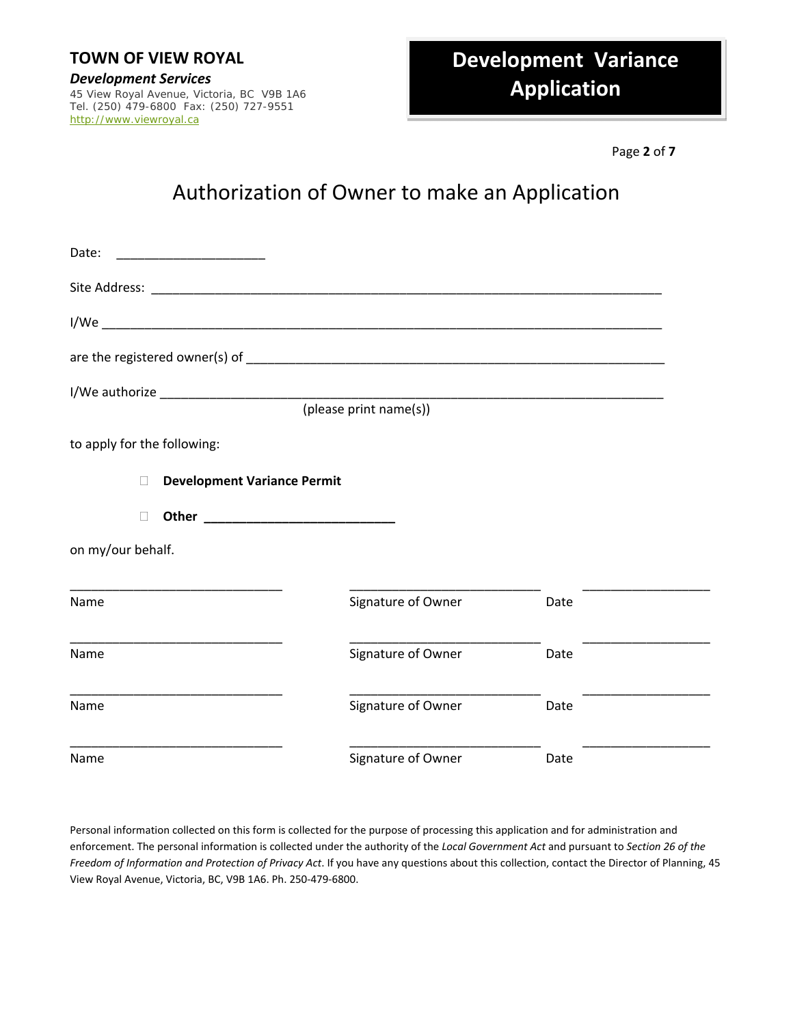# *Development Services* 45 View Royal Avenue, Victoria, BC V9B 1A6

Tel. (250) 479-6800 Fax: (250) 727-9551 http://www.viewroyal.ca

## **Development Variance Application**

Page **2** of **7**

## Authorization of Owner to make an Application

| Date:                                        |                        |      |  |
|----------------------------------------------|------------------------|------|--|
|                                              |                        |      |  |
|                                              |                        |      |  |
|                                              |                        |      |  |
|                                              |                        |      |  |
|                                              | (please print name(s)) |      |  |
| to apply for the following:                  |                        |      |  |
| <b>Development Variance Permit</b><br>$\Box$ |                        |      |  |
|                                              |                        |      |  |
| on my/our behalf.                            |                        |      |  |
| Name                                         | Signature of Owner     | Date |  |
| Name                                         | Signature of Owner     | Date |  |
| Name                                         | Signature of Owner     | Date |  |
| Name                                         | Signature of Owner     | Date |  |

Personal information collected on this form is collected for the purpose of processing this application and for administration and enforcement. The personal information is collected under the authority of the *Local Government Act* and pursuant to *Section 26 of the Freedom of Information and Protection of Privacy Act*. If you have any questions about this collection, contact the Director of Planning, 45 View Royal Avenue, Victoria, BC, V9B 1A6. Ph. 250‐479‐6800.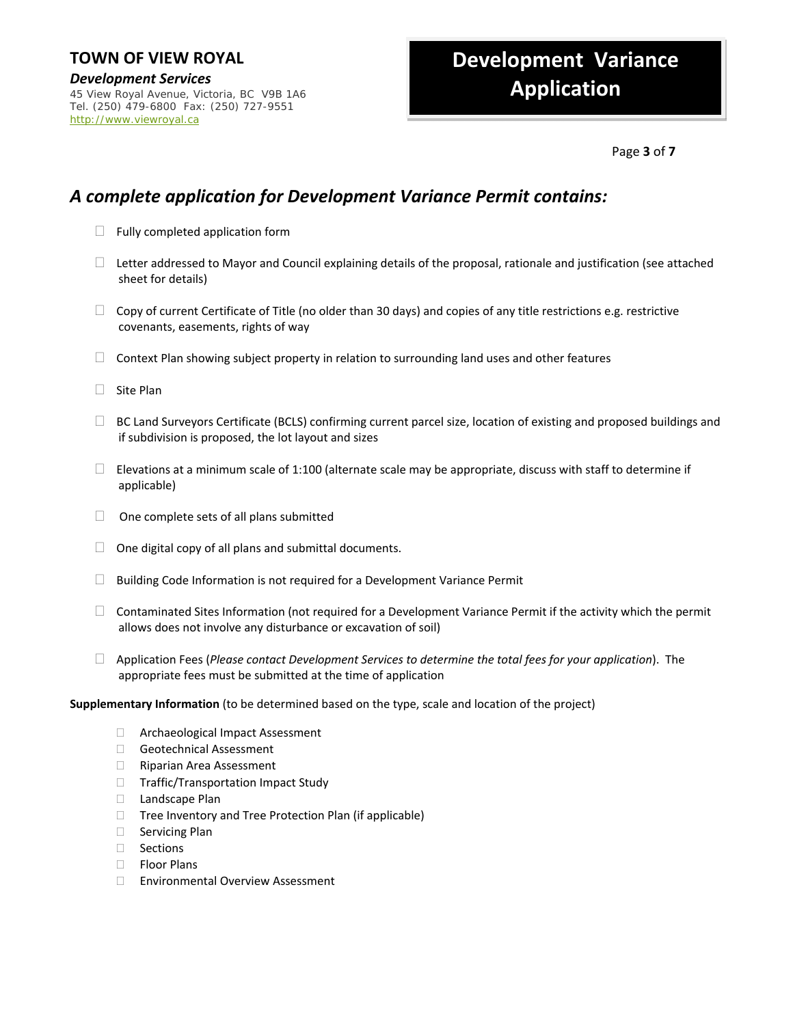*Development Services* 45 View Royal Avenue, Victoria, BC V9B 1A6 Tel. (250) 479-6800 Fax: (250) 727-9551 http://www.viewroyal.ca

## **Development Variance Application**

#### Page **3** of **7**

### *A complete application for Development Variance Permit contains:*

- $\Box$  Fully completed application form
- $\Box$  Letter addressed to Mayor and Council explaining details of the proposal, rationale and justification (see attached sheet for details)
- $\Box$  Copy of current Certificate of Title (no older than 30 days) and copies of any title restrictions e.g. restrictive covenants, easements, rights of way
- $\Box$  Context Plan showing subject property in relation to surrounding land uses and other features
- $\Box$  Site Plan
- $\Box$  BC Land Surveyors Certificate (BCLS) confirming current parcel size, location of existing and proposed buildings and if subdivision is proposed, the lot layout and sizes
- $\square$  Elevations at a minimum scale of 1:100 (alternate scale may be appropriate, discuss with staff to determine if applicable)
- $\Box$  One complete sets of all plans submitted
- $\Box$  One digital copy of all plans and submittal documents.
- $\Box$  Building Code Information is not required for a Development Variance Permit
- $\Box$  Contaminated Sites Information (not required for a Development Variance Permit if the activity which the permit allows does not involve any disturbance or excavation of soil)
- Application Fees (*Please contact Development Services to determine the total fees for your application*). The appropriate fees must be submitted at the time of application

#### **Supplementary Information** (to be determined based on the type, scale and location of the project)

- □ Archaeological Impact Assessment
- Geotechnical Assessment
- □ Riparian Area Assessment
- □ Traffic/Transportation Impact Study
- D Landscape Plan
- $\Box$  Tree Inventory and Tree Protection Plan (if applicable)
- □ Servicing Plan
- □ Sections
- □ Floor Plans
- □ Environmental Overview Assessment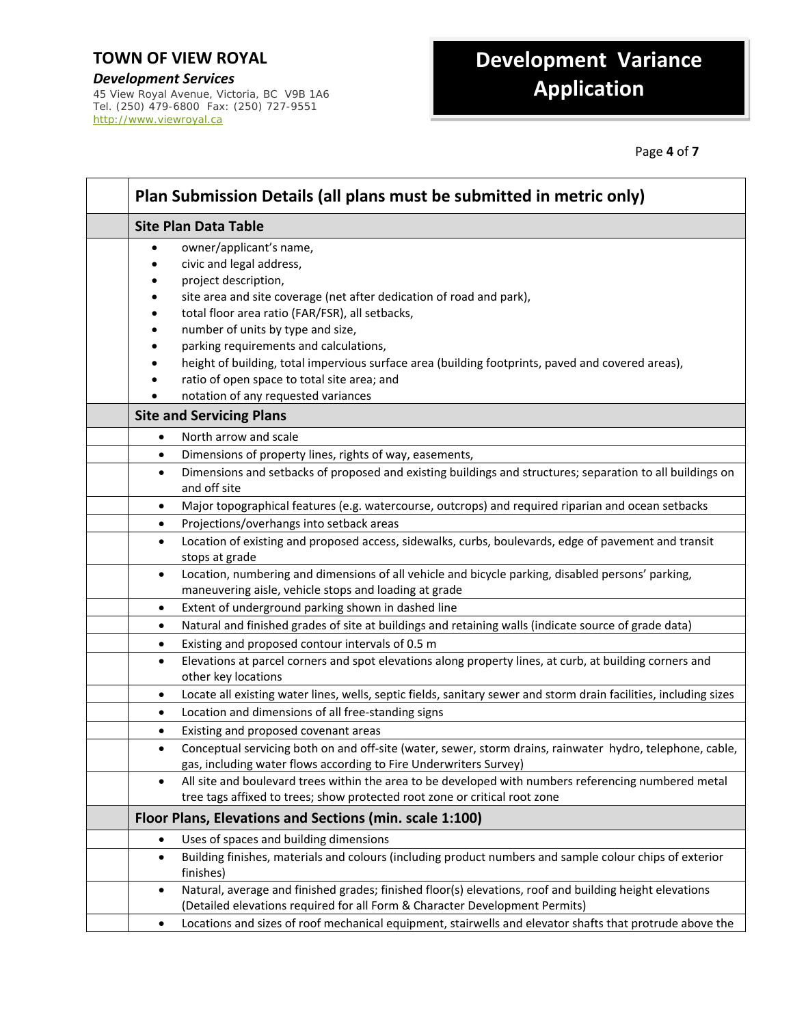*Development Services* 45 View Royal Avenue, Victoria, BC V9B 1A6 Tel. (250) 479-6800 Fax: (250) 727-9551 http://www.viewroyal.ca

## **Development Variance Application**

Page **4** of **7**

| Plan Submission Details (all plans must be submitted in metric only)                                                                                                                                                                                                                                                                                                                                                                                                             |
|----------------------------------------------------------------------------------------------------------------------------------------------------------------------------------------------------------------------------------------------------------------------------------------------------------------------------------------------------------------------------------------------------------------------------------------------------------------------------------|
| <b>Site Plan Data Table</b>                                                                                                                                                                                                                                                                                                                                                                                                                                                      |
| owner/applicant's name,<br>civic and legal address,<br>project description,<br>site area and site coverage (net after dedication of road and park),<br>total floor area ratio (FAR/FSR), all setbacks,<br>number of units by type and size,<br>parking requirements and calculations,<br>height of building, total impervious surface area (building footprints, paved and covered areas),<br>ratio of open space to total site area; and<br>notation of any requested variances |
| <b>Site and Servicing Plans</b>                                                                                                                                                                                                                                                                                                                                                                                                                                                  |
| North arrow and scale<br>٠                                                                                                                                                                                                                                                                                                                                                                                                                                                       |
| Dimensions of property lines, rights of way, easements,<br>$\bullet$                                                                                                                                                                                                                                                                                                                                                                                                             |
| Dimensions and setbacks of proposed and existing buildings and structures; separation to all buildings on<br>$\bullet$<br>and off site                                                                                                                                                                                                                                                                                                                                           |
| Major topographical features (e.g. watercourse, outcrops) and required riparian and ocean setbacks<br>٠                                                                                                                                                                                                                                                                                                                                                                          |
| Projections/overhangs into setback areas<br>$\bullet$                                                                                                                                                                                                                                                                                                                                                                                                                            |
| Location of existing and proposed access, sidewalks, curbs, boulevards, edge of pavement and transit<br>$\bullet$<br>stops at grade                                                                                                                                                                                                                                                                                                                                              |
| Location, numbering and dimensions of all vehicle and bicycle parking, disabled persons' parking,<br>$\bullet$<br>maneuvering aisle, vehicle stops and loading at grade                                                                                                                                                                                                                                                                                                          |
| Extent of underground parking shown in dashed line<br>$\bullet$                                                                                                                                                                                                                                                                                                                                                                                                                  |
| Natural and finished grades of site at buildings and retaining walls (indicate source of grade data)<br>$\bullet$                                                                                                                                                                                                                                                                                                                                                                |
| Existing and proposed contour intervals of 0.5 m<br>$\bullet$                                                                                                                                                                                                                                                                                                                                                                                                                    |
| Elevations at parcel corners and spot elevations along property lines, at curb, at building corners and<br>٠<br>other key locations                                                                                                                                                                                                                                                                                                                                              |
| Locate all existing water lines, wells, septic fields, sanitary sewer and storm drain facilities, including sizes<br>$\bullet$                                                                                                                                                                                                                                                                                                                                                   |
| Location and dimensions of all free-standing signs<br>$\bullet$                                                                                                                                                                                                                                                                                                                                                                                                                  |
| Existing and proposed covenant areas<br>$\bullet$                                                                                                                                                                                                                                                                                                                                                                                                                                |
| Conceptual servicing both on and off-site (water, sewer, storm drains, rainwater hydro, telephone, cable,<br>$\bullet$<br>gas, including water flows according to Fire Underwriters Survey)                                                                                                                                                                                                                                                                                      |
| All site and boulevard trees within the area to be developed with numbers referencing numbered metal<br>$\bullet$<br>tree tags affixed to trees; show protected root zone or critical root zone                                                                                                                                                                                                                                                                                  |
| Floor Plans, Elevations and Sections (min. scale 1:100)                                                                                                                                                                                                                                                                                                                                                                                                                          |
| Uses of spaces and building dimensions<br>$\bullet$                                                                                                                                                                                                                                                                                                                                                                                                                              |
| Building finishes, materials and colours (including product numbers and sample colour chips of exterior<br>$\bullet$<br>finishes)                                                                                                                                                                                                                                                                                                                                                |
| Natural, average and finished grades; finished floor(s) elevations, roof and building height elevations<br>$\bullet$<br>(Detailed elevations required for all Form & Character Development Permits)                                                                                                                                                                                                                                                                              |
| Locations and sizes of roof mechanical equipment, stairwells and elevator shafts that protrude above the<br>٠                                                                                                                                                                                                                                                                                                                                                                    |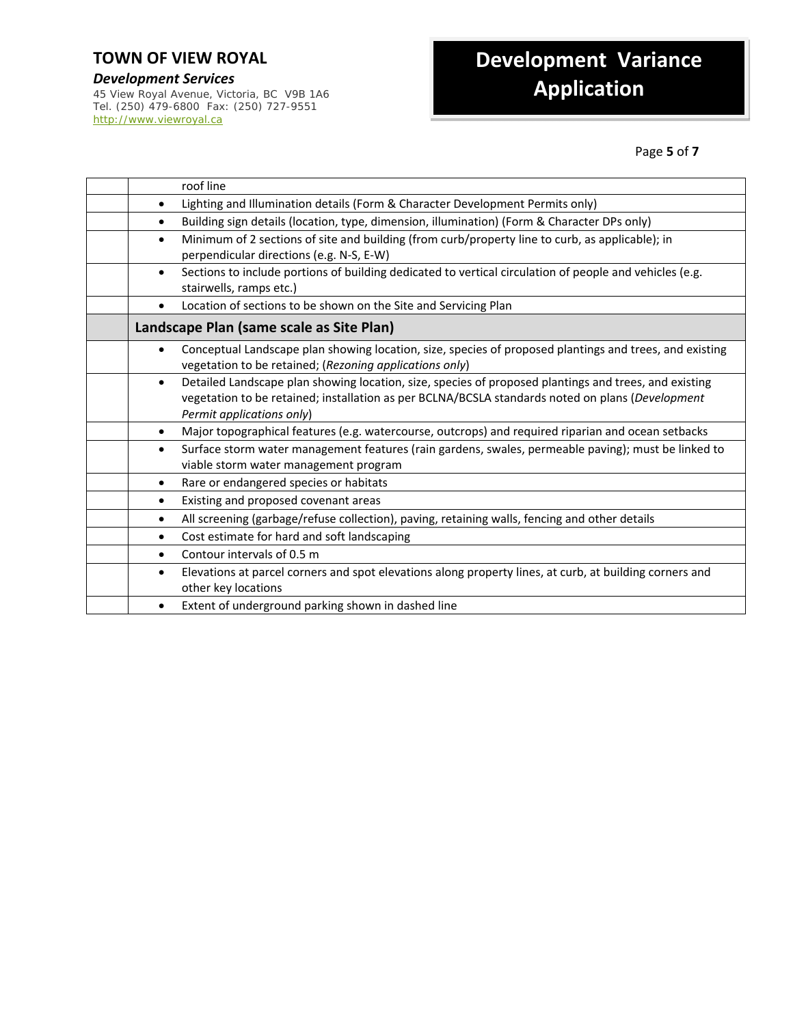*Development Services* 45 View Royal Avenue, Victoria, BC V9B 1A6 Tel. (250) 479-6800 Fax: (250) 727-9551 http://www.viewroyal.ca

## **Development Variance Application**

Page **5** of **7**

| roof line                                                                                                                                                                                                                                           |
|-----------------------------------------------------------------------------------------------------------------------------------------------------------------------------------------------------------------------------------------------------|
| Lighting and Illumination details (Form & Character Development Permits only)<br>$\bullet$                                                                                                                                                          |
| Building sign details (location, type, dimension, illumination) (Form & Character DPs only)<br>$\bullet$                                                                                                                                            |
| Minimum of 2 sections of site and building (from curb/property line to curb, as applicable); in<br>$\bullet$<br>perpendicular directions (e.g. N-S, E-W)                                                                                            |
| Sections to include portions of building dedicated to vertical circulation of people and vehicles (e.g.<br>$\bullet$<br>stairwells, ramps etc.)                                                                                                     |
| Location of sections to be shown on the Site and Servicing Plan<br>$\bullet$                                                                                                                                                                        |
| Landscape Plan (same scale as Site Plan)                                                                                                                                                                                                            |
| Conceptual Landscape plan showing location, size, species of proposed plantings and trees, and existing<br>$\bullet$<br>vegetation to be retained; (Rezoning applications only)                                                                     |
| Detailed Landscape plan showing location, size, species of proposed plantings and trees, and existing<br>$\bullet$<br>vegetation to be retained; installation as per BCLNA/BCSLA standards noted on plans (Development<br>Permit applications only) |
| Major topographical features (e.g. watercourse, outcrops) and required riparian and ocean setbacks<br>$\bullet$                                                                                                                                     |
| Surface storm water management features (rain gardens, swales, permeable paving); must be linked to<br>$\bullet$<br>viable storm water management program                                                                                           |
| Rare or endangered species or habitats<br>$\bullet$                                                                                                                                                                                                 |
| Existing and proposed covenant areas<br>$\bullet$                                                                                                                                                                                                   |
| All screening (garbage/refuse collection), paving, retaining walls, fencing and other details<br>$\bullet$                                                                                                                                          |
| Cost estimate for hard and soft landscaping<br>$\bullet$                                                                                                                                                                                            |
| Contour intervals of 0.5 m<br>$\bullet$                                                                                                                                                                                                             |
| Elevations at parcel corners and spot elevations along property lines, at curb, at building corners and<br>$\bullet$<br>other key locations                                                                                                         |
| Extent of underground parking shown in dashed line                                                                                                                                                                                                  |
|                                                                                                                                                                                                                                                     |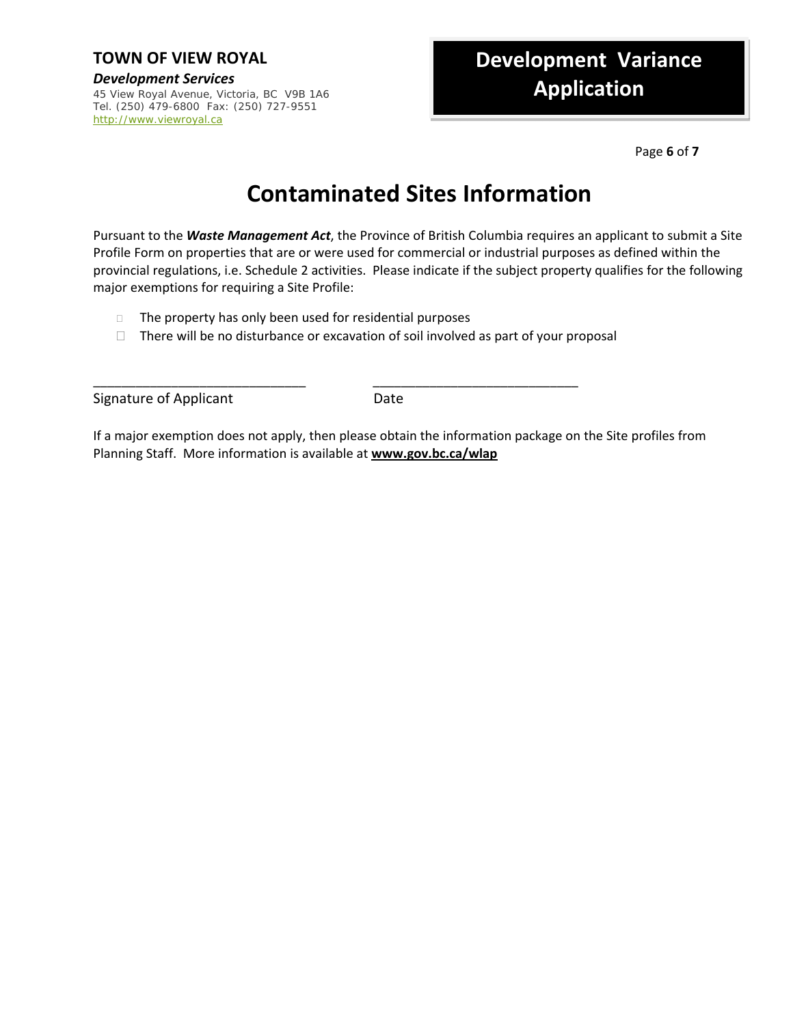*Development Services* 45 View Royal Avenue, Victoria, BC V9B 1A6 Tel. (250) 479-6800 Fax: (250) 727-9551 http://www.viewroyal.ca

## **Development Variance Application**

Page **6** of **7**

## **Contaminated Sites Information**

Pursuant to the *Waste Management Act*, the Province of British Columbia requires an applicant to submit a Site Profile Form on properties that are or were used for commercial or industrial purposes as defined within the provincial regulations, i.e. Schedule 2 activities. Please indicate if the subject property qualifies for the following major exemptions for requiring a Site Profile:

- $\Box$  The property has only been used for residential purposes
- $\Box$  There will be no disturbance or excavation of soil involved as part of your proposal

\_\_\_\_\_\_\_\_\_\_\_\_\_\_\_\_\_\_\_\_\_\_\_\_\_\_\_\_\_\_ \_\_\_\_\_\_\_\_\_\_\_\_\_\_\_\_\_\_\_\_\_\_\_\_\_\_\_\_\_

Signature of Applicant **Signature of Applicant** 

If a major exemption does not apply, then please obtain the information package on the Site profiles from Planning Staff. More information is available at **www.gov.bc.ca/wlap**